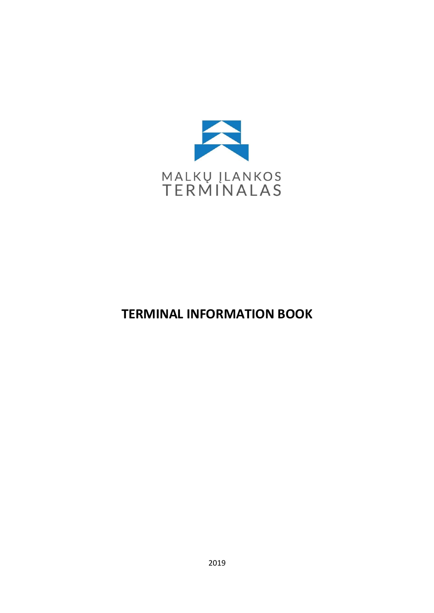

# TERMINAL INFORMATION BOOK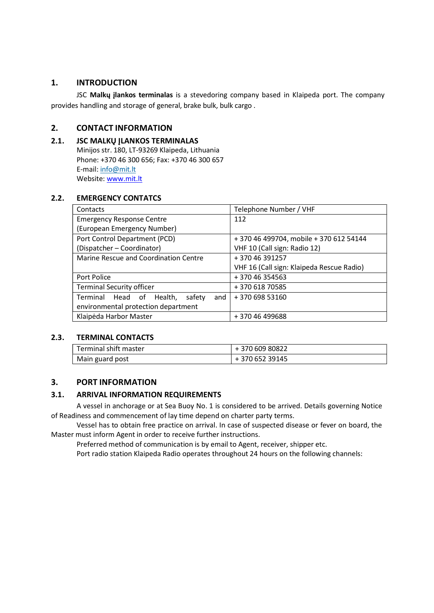## 1. INTRODUCTION

JSC Malkų įlankos terminalas is a stevedoring company based in Klaipeda port. The company provides handling and storage of general, brake bulk, bulk cargo .

# 2. CONTACT INFORMATION

# 2.1. JSC MALKŲ ĮLANKOS TERMINALAS

Minijos str. 180, LT-93269 Klaipeda, Lithuania Phone: +370 46 300 656; Fax: +370 46 300 657 E-mail: info@mit.lt Website: www.mit.lt

#### 2.2. EMERGENCY CONTATCS

| Contacts                                  | Telephone Number / VHF                    |  |
|-------------------------------------------|-------------------------------------------|--|
| <b>Emergency Response Centre</b>          | 112                                       |  |
| (European Emergency Number)               |                                           |  |
| Port Control Department (PCD)             | +370 46 499704, mobile +370 612 54144     |  |
| (Dispatcher - Coordinator)                | VHF 10 (Call sign: Radio 12)              |  |
| Marine Rescue and Coordination Centre     | +37046391257                              |  |
|                                           | VHF 16 (Call sign: Klaipeda Rescue Radio) |  |
| Port Police                               | +37046354563                              |  |
| <b>Terminal Security officer</b>          | +370 618 70585                            |  |
| safety<br>Terminal Head of Health,<br>and | +370 698 53160                            |  |
| environmental protection department       |                                           |  |
| Klaipėda Harbor Master                    | +37046499688                              |  |

#### 2.3. TERMINAL CONTACTS

| Terminal shift master | +370 609 80822 |
|-----------------------|----------------|
| Main guard post       | +370 652 39145 |

## 3. PORT INFORMATION

## 3.1. ARRIVAL INFORMATION REQUIREMENTS

A vessel in anchorage or at Sea Buoy No. 1 is considered to be arrived. Details governing Notice of Readiness and commencement of lay time depend on charter party terms.

Vessel has to obtain free practice on arrival. In case of suspected disease or fever on board, the Master must inform Agent in order to receive further instructions.

Preferred method of communication is by email to Agent, receiver, shipper etc.

Port radio station Klaipeda Radio operates throughout 24 hours on the following channels: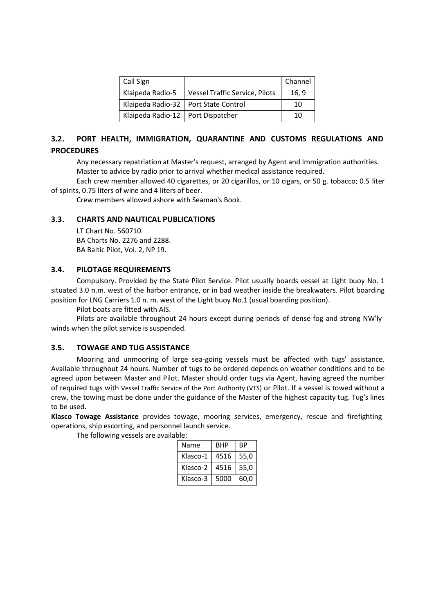| Call Sign         |                                        | Channel |
|-------------------|----------------------------------------|---------|
| Klaipeda Radio-5  | <b>Vessel Traffic Service, Pilots</b>  | 16, 9   |
|                   | Klaipeda Radio-32   Port State Control | 10      |
| Klaipeda Radio-12 | Port Dispatcher                        | 10      |

# 3.2. PORT HEALTH, IMMIGRATION, QUARANTINE AND CUSTOMS REGULATIONS AND **PROCEDURES**

Any necessary repatriation at Master's request, arranged by Agent and Immigration authorities. Master to advice by radio prior to arrival whether medical assistance required.

Each crew member allowed 40 cigarettes, or 20 cigarillos, or 10 cigars, or 50 g. tobacco; 0.5 liter of spirits, 0.75 liters of wine and 4 liters of beer.

Crew members allowed ashore with Seaman's Book.

#### 3.3. CHARTS AND NAUTICAL PUBLICATIONS

LT Chart No. 560710. BA Charts No. 2276 and 2288. BA Baltic Pilot, Vol. 2, NP 19.

#### 3.4. PILOTAGE REQUIREMENTS

Compulsory. Provided by the State Pilot Service. Pilot usually boards vessel at Light buoy No. 1 situated 3.0 n.m. west of the harbor entrance, or in bad weather inside the breakwaters. Pilot boarding position for LNG Carriers 1.0 n. m. west of the Light buoy No.1 (usual boarding position).

Pilot boats are fitted with AIS.

Pilots are available throughout 24 hours except during periods of dense fog and strong NW'ly winds when the pilot service is suspended.

#### 3.5. TOWAGE AND TUG ASSISTANCE

Mooring and unmooring of large sea-going vessels must be affected with tugs' assistance. Available throughout 24 hours. Number of tugs to be ordered depends on weather conditions and to be agreed upon between Master and Pilot. Master should order tugs via Agent, having agreed the number of required tugs with Vessel Traffic Service of the Port Authority (VTS) or Pilot. If a vessel is towed without a crew, the towing must be done under the guidance of the Master of the highest capacity tug. Tug's lines to be used.

Klasco Towage Assistance provides towage, mooring services, emergency, rescue and firefighting operations, ship escorting, and personnel launch service.

The following vessels are available:

| Name     | <b>BHP</b> | ВP   |  |
|----------|------------|------|--|
| Klasco-1 | 4516       | 55,0 |  |
| Klasco-2 | 4516       | 55,0 |  |
| Klasco-3 | 5000       | 60.0 |  |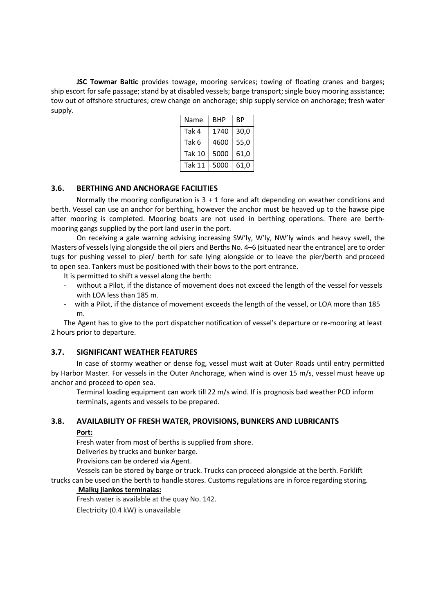JSC Towmar Baltic provides towage, mooring services; towing of floating cranes and barges; ship escort for safe passage; stand by at disabled vessels; barge transport; single buoy mooring assistance; tow out of offshore structures; crew change on anchorage; ship supply service on anchorage; fresh water supply.

| Name          | <b>BHP</b> | ВP   |
|---------------|------------|------|
| Tak 4         | 1740       | 30,0 |
| Tak 6         | 4600       | 55,0 |
| <b>Tak 10</b> | 5000       | 61,0 |
| <b>Tak 11</b> | 5000       | 61,0 |

## 3.6. BERTHING AND ANCHORAGE FACILITIES

Normally the mooring configuration is  $3 + 1$  fore and aft depending on weather conditions and berth. Vessel can use an anchor for berthing, however the anchor must be heaved up to the hawse pipe after mooring is completed. Mooring boats are not used in berthing operations. There are berthmooring gangs supplied by the port land user in the port.

On receiving a gale warning advising increasing SW'ly, W'ly, NW'ly winds and heavy swell, the Masters of vessels lying alongside the oil piers and Berths No. 4–6 (situated near the entrance) are to order tugs for pushing vessel to pier/ berth for safe lying alongside or to leave the pier/berth and proceed to open sea. Tankers must be positioned with their bows to the port entrance.

It is permitted to shift a vessel along the berth:

- without a Pilot, if the distance of movement does not exceed the length of the vessel for vessels with LOA less than 185 m.
- with a Pilot, if the distance of movement exceeds the length of the vessel, or LOA more than 185 m.

The Agent has to give to the port dispatcher notification of vessel's departure or re-mooring at least 2 hours prior to departure.

#### 3.7. SIGNIFICANT WEATHER FEATURES

In case of stormy weather or dense fog, vessel must wait at Outer Roads until entry permitted by Harbor Master. For vessels in the Outer Anchorage, when wind is over 15 m/s, vessel must heave up anchor and proceed to open sea.

Terminal loading equipment can work till 22 m/s wind. If is prognosis bad weather PCD inform terminals, agents and vessels to be prepared.

#### 3.8. AVAILABILITY OF FRESH WATER, PROVISIONS, BUNKERS AND LUBRICANTS

#### Port:

Fresh water from most of berths is supplied from shore.

Deliveries by trucks and bunker barge.

Provisions can be ordered via Agent.

Vessels can be stored by barge or truck. Trucks can proceed alongside at the berth. Forklift trucks can be used on the berth to handle stores. Customs regulations are in force regarding storing.

#### Malkų įlankos terminalas:

Fresh water is available at the quay No. 142.

Electricity (0.4 kW) is unavailable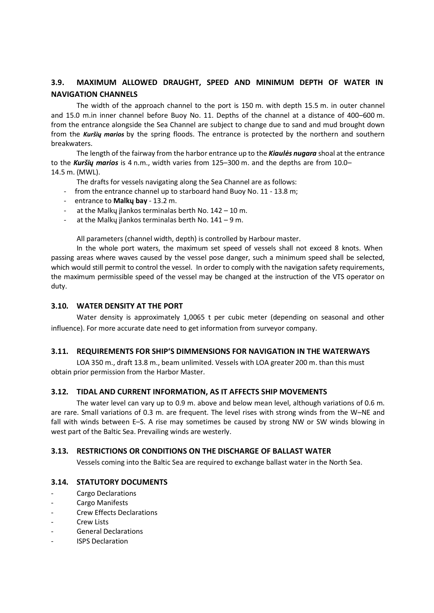# 3.9. MAXIMUM ALLOWED DRAUGHT, SPEED AND MINIMUM DEPTH OF WATER IN NAVIGATION CHANNELS

The width of the approach channel to the port is 150 m. with depth 15.5 m. in outer channel and 15.0 m.in inner channel before Buoy No. 11. Depths of the channel at a distance of 400–600 m. from the entrance alongside the Sea Channel are subject to change due to sand and mud brought down from the Kuršiy marios by the spring floods. The entrance is protected by the northern and southern breakwaters.

The length of the fairway from the harbor entrance up to the **Kiaulės nugara** shoal at the entrance to the Kuršių marios is 4 n.m., width varies from 125–300 m. and the depths are from 10.0– 14.5 m. (MWL).

The drafts for vessels navigating along the Sea Channel are as follows:

- from the entrance channel up to starboard hand Buoy No. 11 13.8 m;
- entrance to Malkų bay 13.2 m.
- at the Malkų įlankos terminalas berth No. 142 10 m.
- at the Malky jlankos terminalas berth No.  $141 9$  m.

All parameters (channel width, depth) is controlled by Harbour master.

In the whole port waters, the maximum set speed of vessels shall not exceed 8 knots. When passing areas where waves caused by the vessel pose danger, such a minimum speed shall be selected, which would still permit to control the vessel. In order to comply with the navigation safety requirements, the maximum permissible speed of the vessel may be changed at the instruction of the VTS operator on duty.

#### 3.10. WATER DENSITY AT THE PORT

Water density is approximately 1,0065 t per cubic meter (depending on seasonal and other influence). For more accurate date need to get information from surveyor company.

#### 3.11. REQUIREMENTS FOR SHIP'S DIMMENSIONS FOR NAVIGATION IN THE WATERWAYS

LOA 350 m., draft 13.8 m., beam unlimited. Vessels with LOA greater 200 m. than this must obtain prior permission from the Harbor Master.

#### 3.12. TIDAL AND CURRENT INFORMATION, AS IT AFFECTS SHIP MOVEMENTS

The water level can vary up to 0.9 m. above and below mean level, although variations of 0.6 m. are rare. Small variations of 0.3 m. are frequent. The level rises with strong winds from the W–NE and fall with winds between E–S. A rise may sometimes be caused by strong NW or SW winds blowing in west part of the Baltic Sea. Prevailing winds are westerly.

#### 3.13. RESTRICTIONS OR CONDITIONS ON THE DISCHARGE OF BALLAST WATER

Vessels coming into the Baltic Sea are required to exchange ballast water in the North Sea.

#### 3.14. STATUTORY DOCUMENTS

- Cargo Declarations
- Cargo Manifests
- Crew Effects Declarations
- Crew Lists
- General Declarations
- ISPS Declaration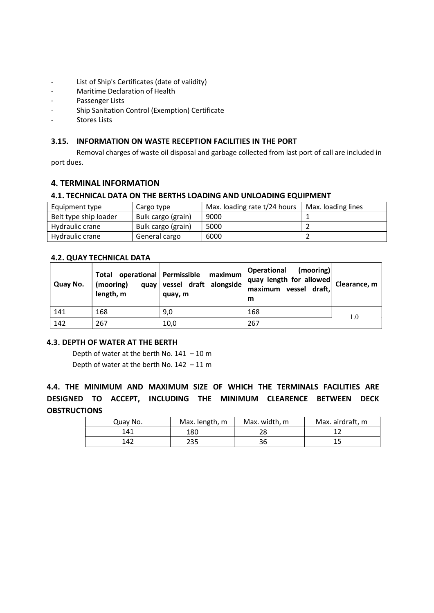- List of Ship's Certificates (date of validity)
- Maritime Declaration of Health
- Passenger Lists
- Ship Sanitation Control (Exemption) Certificate
- Stores Lists

## 3.15. INFORMATION ON WASTE RECEPTION FACILITIES IN THE PORT

Removal charges of waste oil disposal and garbage collected from last port of call are included in port dues.

## 4. TERMINAL INFORMATION

## 4.1. TECHNICAL DATA ON THE BERTHS LOADING AND UNLOADING EQUIPMENT

| Equipment type        | Cargo type         | Max. loading rate t/24 hours | Max. loading lines |
|-----------------------|--------------------|------------------------------|--------------------|
| Belt type ship loader | Bulk cargo (grain) | 9000                         |                    |
| Hydraulic crane       | Bulk cargo (grain) | 5000                         |                    |
| Hydraulic crane       | General cargo      | 6000                         |                    |

## 4.2. QUAY TECHNICAL DATA

| Quay No. | Total<br>(mooring)<br>length, m | operational Permissible maximum<br>quay vessel draft alongside<br>quay, m | Operational<br>(mooring)<br>quay length for allowed<br>maximum vessel draft,<br>m | Clearance, $m$ |
|----------|---------------------------------|---------------------------------------------------------------------------|-----------------------------------------------------------------------------------|----------------|
| 141      | 168                             | 9,0                                                                       | 168                                                                               | 1.0            |
| 142      | 267                             | 10,0                                                                      | 267                                                                               |                |

## 4.3. DEPTH OF WATER AT THE BERTH

Depth of water at the berth No.  $141 - 10$  m Depth of water at the berth No. 142 – 11 m

4.4. THE MINIMUM AND MAXIMUM SIZE OF WHICH THE TERMINALS FACILITIES ARE DESIGNED TO ACCEPT, INCLUDING THE MINIMUM CLEARENCE BETWEEN DECK **OBSTRUCTIONS** 

| Quay No. | Max. length, m | Max. width, m | Max. airdraft, m |
|----------|----------------|---------------|------------------|
| 141      | 180            | 28            |                  |
| 142      | 235            | 36            |                  |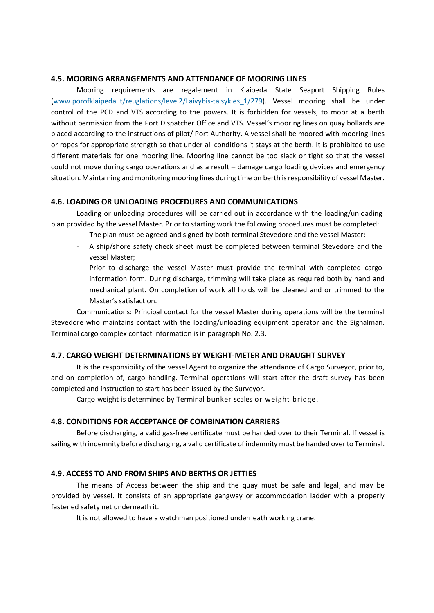#### 4.5. MOORING ARRANGEMENTS AND ATTENDANCE OF MOORING LINES

Mooring requirements are regalement in Klaipeda State Seaport Shipping Rules (www.porofklaipeda.lt/reuglations/level2/Laivybis-taisykles\_1/279). Vessel mooring shall be under control of the PCD and VTS according to the powers. It is forbidden for vessels, to moor at a berth without permission from the Port Dispatcher Office and VTS. Vessel's mooring lines on quay bollards are placed according to the instructions of pilot/ Port Authority. A vessel shall be moored with mooring lines or ropes for appropriate strength so that under all conditions it stays at the berth. It is prohibited to use different materials for one mooring line. Mooring line cannot be too slack or tight so that the vessel could not move during cargo operations and as a result – damage cargo loading devices and emergency situation. Maintaining and monitoring mooring lines during time on berth is responsibility of vessel Master.

#### 4.6. LOADING OR UNLOADING PROCEDURES AND COMMUNICATIONS

Loading or unloading procedures will be carried out in accordance with the loading/unloading plan provided by the vessel Master. Prior to starting work the following procedures must be completed:

- The plan must be agreed and signed by both terminal Stevedore and the vessel Master;
- A ship/shore safety check sheet must be completed between terminal Stevedore and the vessel Master;
- Prior to discharge the vessel Master must provide the terminal with completed cargo information form. During discharge, trimming will take place as required both by hand and mechanical plant. On completion of work all holds will be cleaned and or trimmed to the Master's satisfaction.

Communications: Principal contact for the vessel Master during operations will be the terminal Stevedore who maintains contact with the loading/unloading equipment operator and the Signalman. Terminal cargo complex contact information is in paragraph No. 2.3.

# 4.7. CARGO WEIGHT DETERMINATIONS BY WEIGHT-METER AND DRAUGHT SURVEY

It is the responsibility of the vessel Agent to organize the attendance of Cargo Surveyor, prior to, and on completion of, cargo handling. Terminal operations will start after the draft survey has been completed and instruction to start has been issued by the Surveyor.

Cargo weight is determined by Terminal bunker scales or weight bridge.

#### 4.8. CONDITIONS FOR ACCEPTANCE OF COMBINATION CARRIERS

Before discharging, a valid gas-free certificate must be handed over to their Terminal. If vessel is sailing with indemnity before discharging, a valid certificate of indemnity must be handed over to Terminal.

#### 4.9. ACCESS TO AND FROM SHIPS AND BERTHS OR JETTIES

The means of Access between the ship and the quay must be safe and legal, and may be provided by vessel. It consists of an appropriate gangway or accommodation ladder with a properly fastened safety net underneath it.

It is not allowed to have a watchman positioned underneath working crane.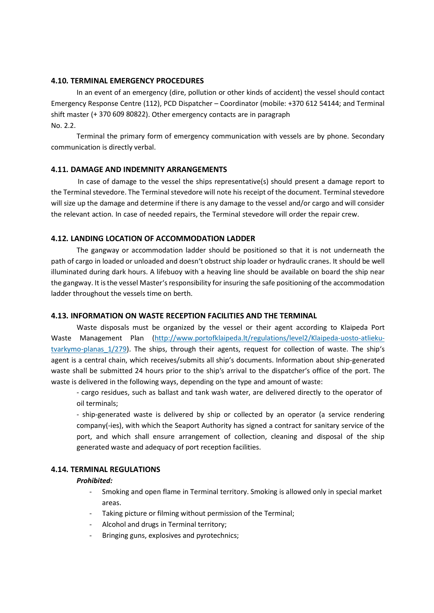#### 4.10. TERMINAL EMERGENCY PROCEDURES

In an event of an emergency (dire, pollution or other kinds of accident) the vessel should contact Emergency Response Centre (112), PCD Dispatcher – Coordinator (mobile: +370 612 54144; and Terminal shift master (+ 370 609 80822). Other emergency contacts are in paragraph No. 2.2.

Terminal the primary form of emergency communication with vessels are by phone. Secondary communication is directly verbal.

## 4.11. DAMAGE AND INDEMNITY ARRANGEMENTS

In case of damage to the vessel the ships representative(s) should present a damage report to the Terminal stevedore. The Terminal stevedore will note his receipt of the document. Terminal stevedore will size up the damage and determine if there is any damage to the vessel and/or cargo and will consider the relevant action. In case of needed repairs, the Terminal stevedore will order the repair crew.

## 4.12. LANDING LOCATION OF ACCOMMODATION LADDER

The gangway or accommodation ladder should be positioned so that it is not underneath the path of cargo in loaded or unloaded and doesn't obstruct ship loader or hydraulic cranes. It should be well illuminated during dark hours. A lifebuoy with a heaving line should be available on board the ship near the gangway. It is the vessel Master's responsibility for insuring the safe positioning of the accommodation ladder throughout the vessels time on berth.

## 4.13. INFORMATION ON WASTE RECEPTION FACILITIES AND THE TERMINAL

Waste disposals must be organized by the vessel or their agent according to Klaipeda Port Waste Management Plan (http://www.portofklaipeda.lt/regulations/level2/Klaipeda-uosto-atliekutvarkymo-planas\_1/279). The ships, through their agents, request for collection of waste. The ship's agent is a central chain, which receives/submits all ship's documents. Information about ship-generated waste shall be submitted 24 hours prior to the ship's arrival to the dispatcher's office of the port. The waste is delivered in the following ways, depending on the type and amount of waste:

- cargo residues, such as ballast and tank wash water, are delivered directly to the operator of oil terminals;

- ship-generated waste is delivered by ship or collected by an operator (a service rendering company(-ies), with which the Seaport Authority has signed a contract for sanitary service of the port, and which shall ensure arrangement of collection, cleaning and disposal of the ship generated waste and adequacy of port reception facilities.

#### 4.14. TERMINAL REGULATIONS

#### Prohibited:

- Smoking and open flame in Terminal territory. Smoking is allowed only in special market areas.
- Taking picture or filming without permission of the Terminal;
- Alcohol and drugs in Terminal territory;
- Bringing guns, explosives and pyrotechnics;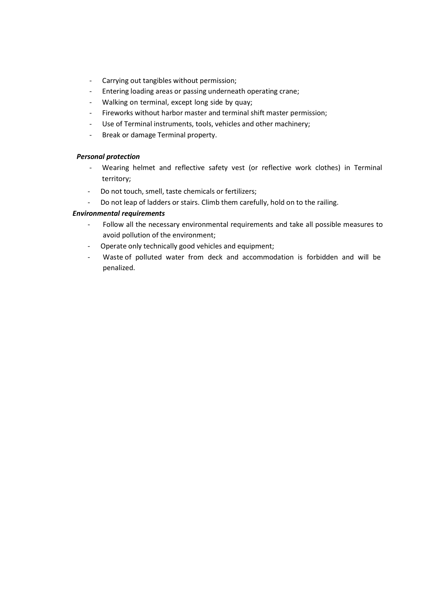- Carrying out tangibles without permission;
- Entering loading areas or passing underneath operating crane;
- Walking on terminal, except long side by quay;
- Fireworks without harbor master and terminal shift master permission;
- Use of Terminal instruments, tools, vehicles and other machinery;
- Break or damage Terminal property.

#### Personal protection

- Wearing helmet and reflective safety vest (or reflective work clothes) in Terminal territory;
- Do not touch, smell, taste chemicals or fertilizers;
- Do not leap of ladders or stairs. Climb them carefully, hold on to the railing.

## Environmental requirements

- Follow all the necessary environmental requirements and take all possible measures to avoid pollution of the environment;
- Operate only technically good vehicles and equipment;
- Waste of polluted water from deck and accommodation is forbidden and will be penalized.